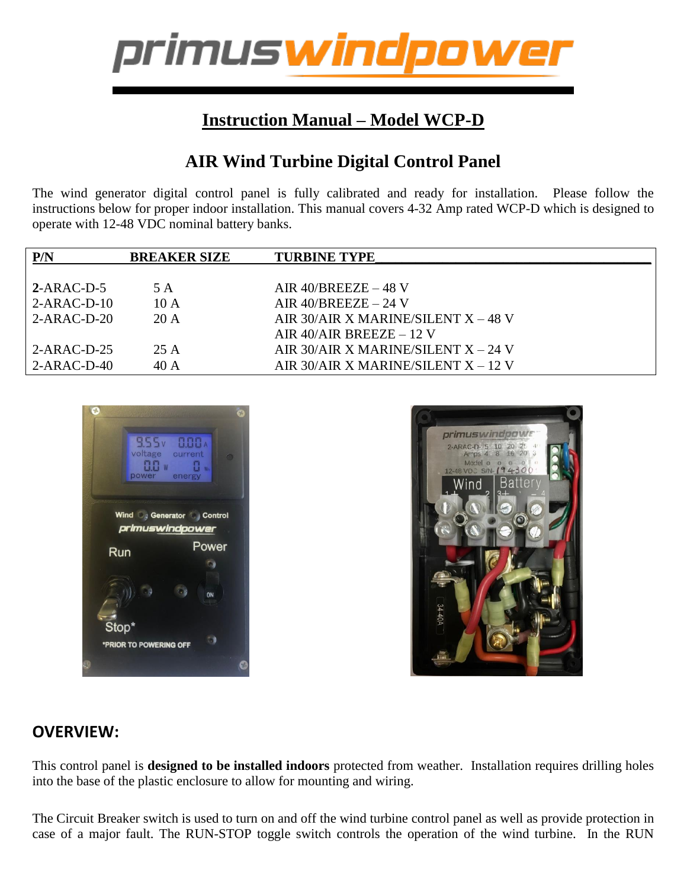

## **Instruction Manual – Model WCP-D**

## **AIR Wind Turbine Digital Control Panel**

The wind generator digital control panel is fully calibrated and ready for installation. Please follow the instructions below for proper indoor installation. This manual covers 4-32 Amp rated WCP-D which is designed to operate with 12-48 VDC nominal battery banks.

| P/N           | <b>BREAKER SIZE</b> | <b>TURBINE TYPE</b>                   |
|---------------|---------------------|---------------------------------------|
|               |                     |                                       |
| $2-ARAC-D-5$  | 5 A                 | AIR $40/BREEZE - 48$ V                |
| $2-ARAC-D-10$ | 10A                 | AIR $40/BREEZE - 24$ V                |
| $2-ARAC-D-20$ | 20A                 | AIR 30/AIR X MARINE/SILENT $X - 48$ V |
|               |                     | AIR 40/AIR BREEZE $-12$ V             |
| $2-ARAC-D-25$ | 25 A                | AIR 30/AIR X MARINE/SILENT $X - 24$ V |
| $2-ARAC-D-40$ | 40A                 | AIR 30/AIR X MARINE/SILENT X – 12 V   |
|               |                     |                                       |





#### **OVERVIEW:**

This control panel is **designed to be installed indoors** protected from weather. Installation requires drilling holes into the base of the plastic enclosure to allow for mounting and wiring.

The Circuit Breaker switch is used to turn on and off the wind turbine control panel as well as provide protection in case of a major fault. The RUN-STOP toggle switch controls the operation of the wind turbine. In the RUN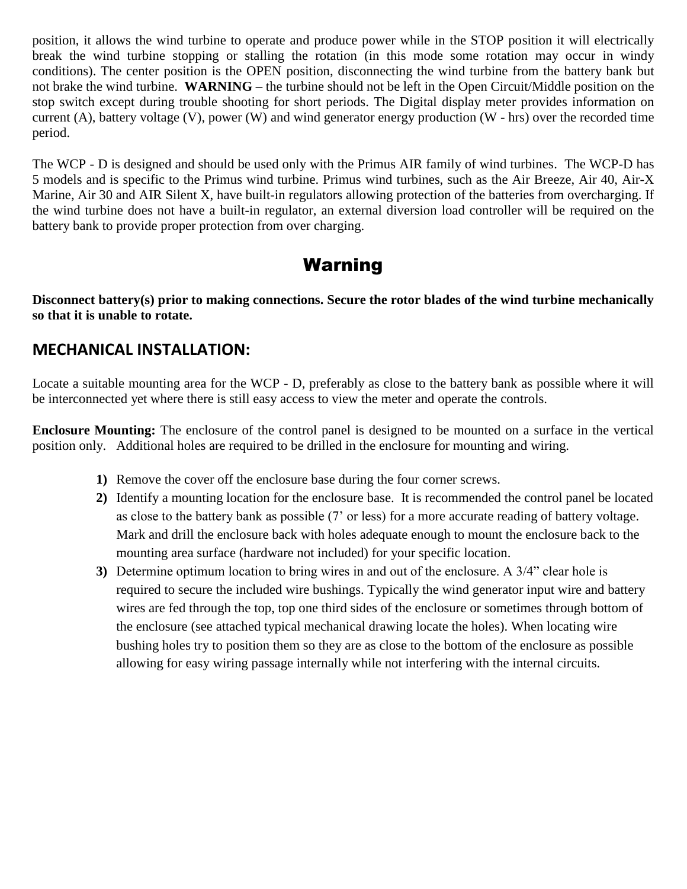position, it allows the wind turbine to operate and produce power while in the STOP position it will electrically break the wind turbine stopping or stalling the rotation (in this mode some rotation may occur in windy conditions). The center position is the OPEN position, disconnecting the wind turbine from the battery bank but not brake the wind turbine. **WARNING** – the turbine should not be left in the Open Circuit/Middle position on the stop switch except during trouble shooting for short periods. The Digital display meter provides information on current  $(A)$ , battery voltage  $(V)$ , power  $(W)$  and wind generator energy production  $(W - hrs)$  over the recorded time period.

The WCP - D is designed and should be used only with the Primus AIR family of wind turbines. The WCP-D has 5 models and is specific to the Primus wind turbine. Primus wind turbines, such as the Air Breeze, Air 40, Air-X Marine, Air 30 and AIR Silent X, have built-in regulators allowing protection of the batteries from overcharging. If the wind turbine does not have a built-in regulator, an external diversion load controller will be required on the battery bank to provide proper protection from over charging.

## Warning

**Disconnect battery(s) prior to making connections. Secure the rotor blades of the wind turbine mechanically so that it is unable to rotate.**

#### **MECHANICAL INSTALLATION:**

Locate a suitable mounting area for the WCP - D, preferably as close to the battery bank as possible where it will be interconnected yet where there is still easy access to view the meter and operate the controls.

**Enclosure Mounting:** The enclosure of the control panel is designed to be mounted on a surface in the vertical position only. Additional holes are required to be drilled in the enclosure for mounting and wiring.

- **1)** Remove the cover off the enclosure base during the four corner screws.
- **2)** Identify a mounting location for the enclosure base. It is recommended the control panel be located as close to the battery bank as possible (7' or less) for a more accurate reading of battery voltage. Mark and drill the enclosure back with holes adequate enough to mount the enclosure back to the mounting area surface (hardware not included) for your specific location.
- **3)** Determine optimum location to bring wires in and out of the enclosure. A 3/4" clear hole is required to secure the included wire bushings. Typically the wind generator input wire and battery wires are fed through the top, top one third sides of the enclosure or sometimes through bottom of the enclosure (see attached typical mechanical drawing locate the holes). When locating wire bushing holes try to position them so they are as close to the bottom of the enclosure as possible allowing for easy wiring passage internally while not interfering with the internal circuits.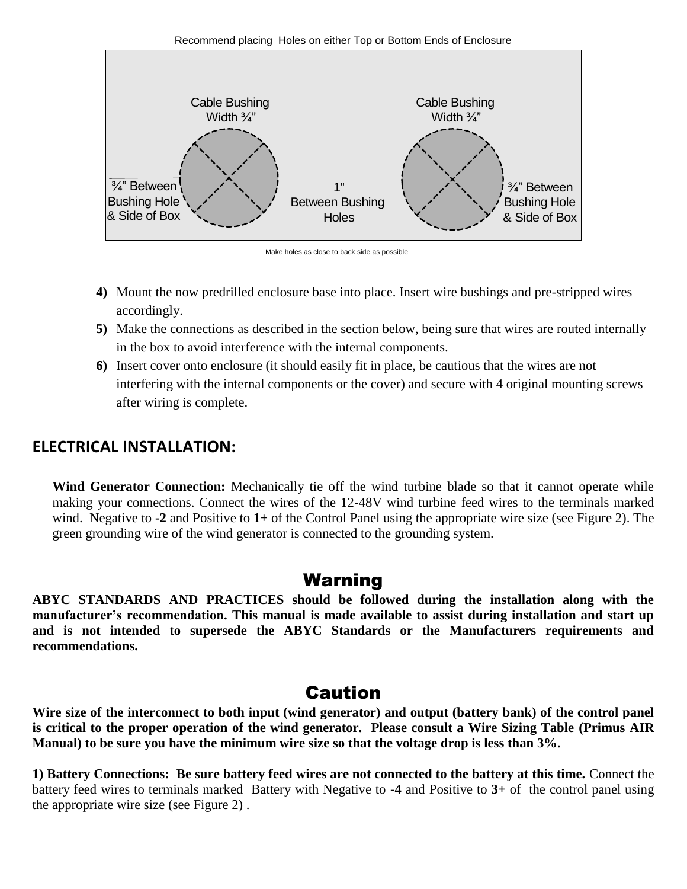Recommend placing Holes on either Top or Bottom Ends of Enclosure





- **4)** Mount the now predrilled enclosure base into place. Insert wire bushings and pre-stripped wires accordingly.
- **5)** Make the connections as described in the section below, being sure that wires are routed internally in the box to avoid interference with the internal components.
- **6)** Insert cover onto enclosure (it should easily fit in place, be cautious that the wires are not interfering with the internal components or the cover) and secure with 4 original mounting screws after wiring is complete.

#### **ELECTRICAL INSTALLATION:**

**Wind Generator Connection:** Mechanically tie off the wind turbine blade so that it cannot operate while making your connections. Connect the wires of the 12-48V wind turbine feed wires to the terminals marked wind. Negative to **-2** and Positive to **1+** of the Control Panel using the appropriate wire size (see Figure 2). The green grounding wire of the wind generator is connected to the grounding system.

## Warning

**ABYC STANDARDS AND PRACTICES should be followed during the installation along with the manufacturer's recommendation. This manual is made available to assist during installation and start up and is not intended to supersede the ABYC Standards or the Manufacturers requirements and recommendations.**

## Caution

**Wire size of the interconnect to both input (wind generator) and output (battery bank) of the control panel is critical to the proper operation of the wind generator. Please consult a Wire Sizing Table (Primus AIR Manual) to be sure you have the minimum wire size so that the voltage drop is less than 3%.** 

**1) Battery Connections: Be sure battery feed wires are not connected to the battery at this time.** Connect the battery feed wires to terminals marked Battery with Negative to **-4** and Positive to **3+** of the control panel using the appropriate wire size (see Figure 2) .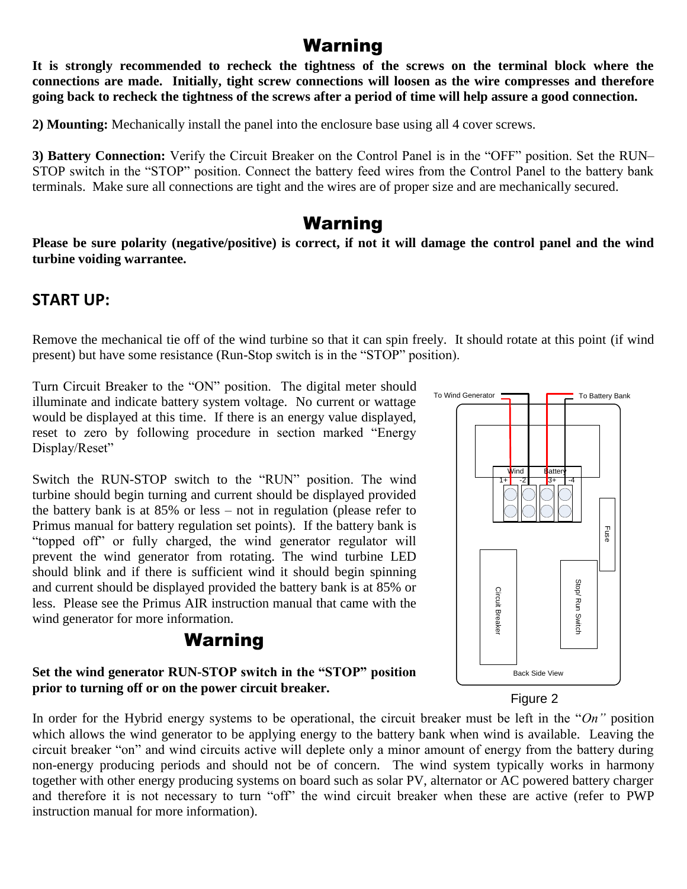## Warning

**It is strongly recommended to recheck the tightness of the screws on the terminal block where the connections are made. Initially, tight screw connections will loosen as the wire compresses and therefore going back to recheck the tightness of the screws after a period of time will help assure a good connection.** 

**2) Mounting:** Mechanically install the panel into the enclosure base using all 4 cover screws.

**3) Battery Connection:** Verify the Circuit Breaker on the Control Panel is in the "OFF" position. Set the RUN– STOP switch in the "STOP" position. Connect the battery feed wires from the Control Panel to the battery bank terminals. Make sure all connections are tight and the wires are of proper size and are mechanically secured.

## Warning

**Please be sure polarity (negative/positive) is correct, if not it will damage the control panel and the wind turbine voiding warrantee.**

#### **START UP:**

Remove the mechanical tie off of the wind turbine so that it can spin freely. It should rotate at this point (if wind present) but have some resistance (Run-Stop switch is in the "STOP" position).

Turn Circuit Breaker to the "ON" position. The digital meter should illuminate and indicate battery system voltage. No current or wattage would be displayed at this time. If there is an energy value displayed, reset to zero by following procedure in section marked "Energy Display/Reset"

Switch the RUN-STOP switch to the "RUN" position. The wind turbine should begin turning and current should be displayed provided the battery bank is at 85% or less – not in regulation (please refer to Primus manual for battery regulation set points). If the battery bank is "topped off" or fully charged, the wind generator regulator will prevent the wind generator from rotating. The wind turbine LED should blink and if there is sufficient wind it should begin spinning and current should be displayed provided the battery bank is at 85% or less. Please see the Primus AIR instruction manual that came with the wind generator for more information.

## Warning

#### **Set the wind generator RUN-STOP switch in the "STOP" position prior to turning off or on the power circuit breaker.**



Figure 2

In order for the Hybrid energy systems to be operational, the circuit breaker must be left in the "*On"* position which allows the wind generator to be applying energy to the battery bank when wind is available. Leaving the circuit breaker "on" and wind circuits active will deplete only a minor amount of energy from the battery during non-energy producing periods and should not be of concern. The wind system typically works in harmony together with other energy producing systems on board such as solar PV, alternator or AC powered battery charger and therefore it is not necessary to turn "off" the wind circuit breaker when these are active (refer to PWP instruction manual for more information).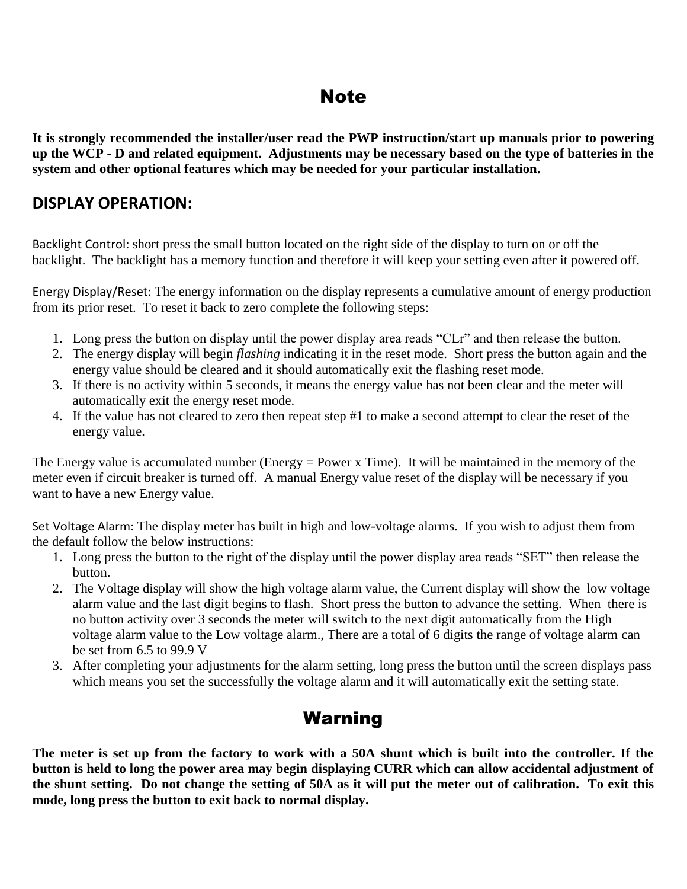## Note

**It is strongly recommended the installer/user read the PWP instruction/start up manuals prior to powering up the WCP - D and related equipment. Adjustments may be necessary based on the type of batteries in the system and other optional features which may be needed for your particular installation.**

### **DISPLAY OPERATION:**

Backlight Control: short press the small button located on the right side of the display to turn on or off the backlight. The backlight has a memory function and therefore it will keep your setting even after it powered off.

Energy Display/Reset: The energy information on the display represents a cumulative amount of energy production from its prior reset. To reset it back to zero complete the following steps:

- 1. Long press the button on display until the power display area reads "CLr" and then release the button.
- 2. The energy display will begin *flashing* indicating it in the reset mode. Short press the button again and the energy value should be cleared and it should automatically exit the flashing reset mode.
- 3. If there is no activity within 5 seconds, it means the energy value has not been clear and the meter will automatically exit the energy reset mode.
- 4. If the value has not cleared to zero then repeat step #1 to make a second attempt to clear the reset of the energy value.

The Energy value is accumulated number (Energy = Power x Time). It will be maintained in the memory of the meter even if circuit breaker is turned off. A manual Energy value reset of the display will be necessary if you want to have a new Energy value.

Set Voltage Alarm: The display meter has built in high and low-voltage alarms. If you wish to adjust them from the default follow the below instructions:

- 1. Long press the button to the right of the display until the power display area reads "SET" then release the button.
- 2. The Voltage display will show the high voltage alarm value, the Current display will show the low voltage alarm value and the last digit begins to flash. Short press the button to advance the setting. When there is no button activity over 3 seconds the meter will switch to the next digit automatically from the High voltage alarm value to the Low voltage alarm., There are a total of 6 digits the range of voltage alarm can be set from 6.5 to 99.9 V
- 3. After completing your adjustments for the alarm setting, long press the button until the screen displays pass which means you set the successfully the voltage alarm and it will automatically exit the setting state.

# Warning

**The meter is set up from the factory to work with a 50A shunt which is built into the controller. If the button is held to long the power area may begin displaying CURR which can allow accidental adjustment of the shunt setting. Do not change the setting of 50A as it will put the meter out of calibration. To exit this mode, long press the button to exit back to normal display.**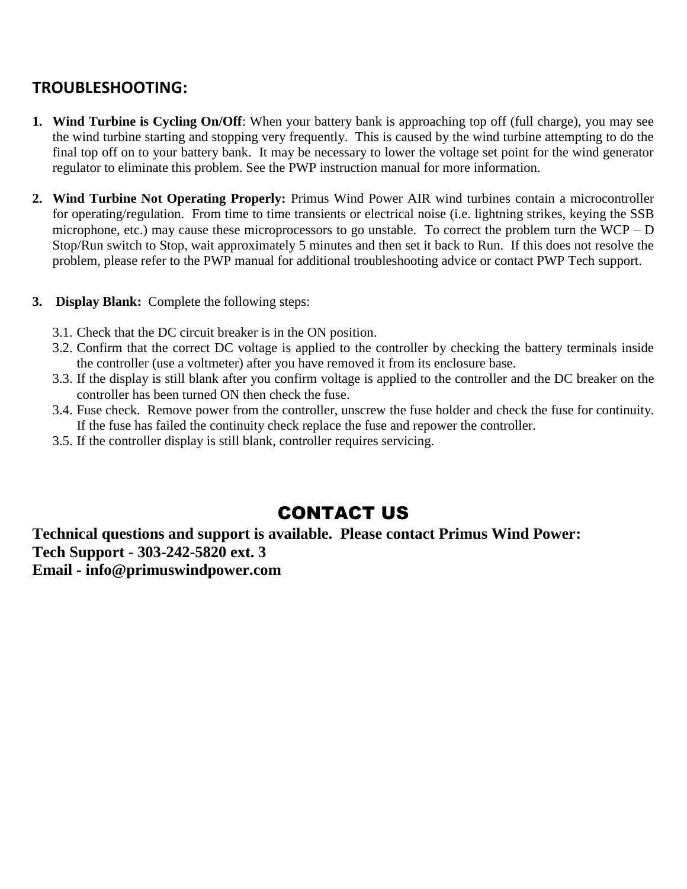## **TROUBLESHOOTING:**

- **1. Wind Turbine is Cycling On/Off**: When your battery bank is approaching top off (full charge), you may see the wind turbine starting and stopping very frequently. This is caused by the wind turbine attempting to do the final top off on to your battery bank. It may be necessary to lower the voltage set point for the wind generator regulator to eliminate this problem. See the PWP instruction manual for more information.
- **2. Wind Turbine Not Operating Properly:** Primus Wind Power AIR wind turbines contain a microcontroller for operating/regulation. From time to time transients or electrical noise (i.e. lightning strikes, keying the SSB microphone, etc.) may cause these microprocessors to go unstable. To correct the problem turn the WCP – D Stop/Run switch to Stop, wait approximately 5 minutes and then set it back to Run. If this does not resolve the problem, please refer to the PWP manual for additional troubleshooting advice or contact PWP Tech support.
- **3. Display Blank:** Complete the following steps:
	- 3.1. Check that the DC circuit breaker is in the ON position.
	- 3.2. Confirm that the correct DC voltage is applied to the controller by checking the battery terminals inside the controller (use a voltmeter) after you have removed it from its enclosure base.
	- 3.3. If the display is still blank after you confirm voltage is applied to the controller and the DC breaker on the controller has been turned ON then check the fuse.
	- 3.4. Fuse check. Remove power from the controller, unscrew the fuse holder and check the fuse for continuity. If the fuse has failed the continuity check replace the fuse and repower the controller.
	- 3.5. If the controller display is still blank, controller requires servicing.

# CONTACT US

**Technical questions and support is available. Please contact Primus Wind Power: Tech Support - 303-242-5820 ext. 3 Email - info@primuswindpower.com**